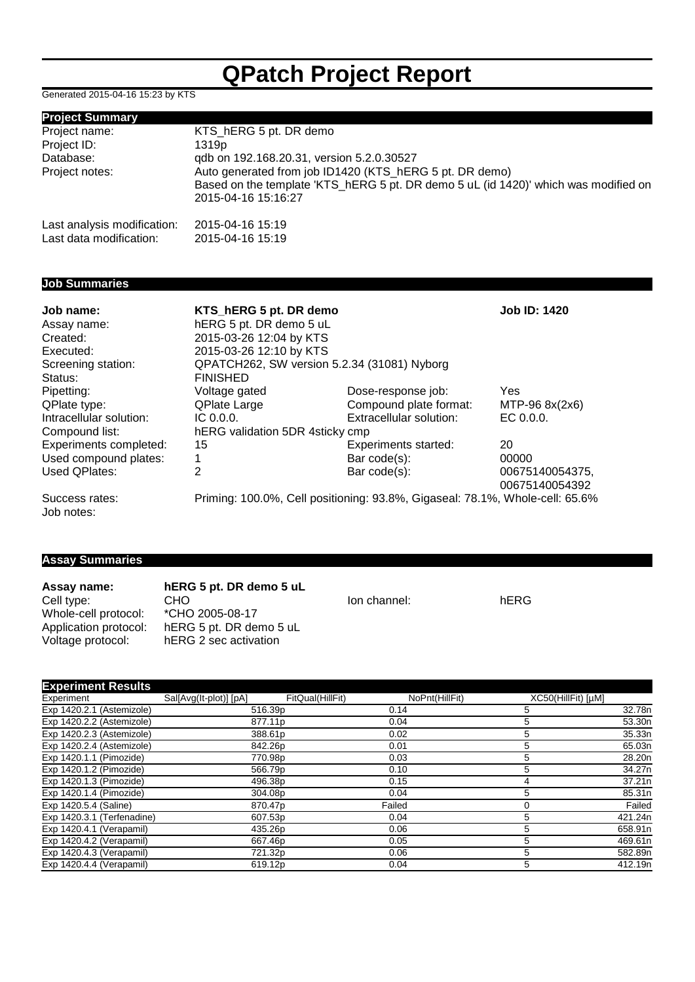# **QPatch Project Report**

Generated 2015-04-16 15:23 by KTS

| KTS_hERG 5 pt. DR demo                                                              |
|-------------------------------------------------------------------------------------|
| 1319p                                                                               |
| qdb on 192.168.20.31, version 5.2.0.30527                                           |
| Auto generated from job ID1420 (KTS_hERG 5 pt. DR demo)                             |
| Based on the template 'KTS hERG 5 pt. DR demo 5 uL (id 1420)' which was modified on |
| 2015-04-16 15:16:27                                                                 |
| 2015-04-16 15:19                                                                    |
| 2015-04-16 15:19                                                                    |
|                                                                                     |

#### **Job Summaries**

| Job name:<br>Assay name:<br>Created:<br>Executed:<br>Screening station:<br>Status: | KTS_hERG 5 pt. DR demo<br>hERG 5 pt. DR demo 5 uL<br>2015-03-26 12:04 by KTS<br>2015-03-26 12:10 by KTS<br>QPATCH262, SW version 5.2.34 (31081) Nyborg<br><b>FINISHED</b> |                                                                              | <b>Job ID: 1420</b> |  |
|------------------------------------------------------------------------------------|---------------------------------------------------------------------------------------------------------------------------------------------------------------------------|------------------------------------------------------------------------------|---------------------|--|
| Pipetting:                                                                         | Voltage gated                                                                                                                                                             | Dose-response job:                                                           | Yes                 |  |
| QPlate type:                                                                       | QPlate Large                                                                                                                                                              | Compound plate format:                                                       | MTP-96 8x(2x6)      |  |
| Intracellular solution:                                                            | IC 0.0.0.                                                                                                                                                                 | Extracellular solution:                                                      | EC 0.0.0.           |  |
| Compound list:                                                                     | hERG validation 5DR 4sticky cmp                                                                                                                                           |                                                                              |                     |  |
| Experiments completed:                                                             | 15                                                                                                                                                                        | Experiments started:                                                         | 20                  |  |
| Used compound plates:                                                              | 1                                                                                                                                                                         | Bar code(s):                                                                 | 00000               |  |
| <b>Used QPlates:</b>                                                               | 2                                                                                                                                                                         | Bar code(s):                                                                 | 00675140054375,     |  |
|                                                                                    |                                                                                                                                                                           |                                                                              | 00675140054392      |  |
| Success rates:<br>Job notes:                                                       |                                                                                                                                                                           | Priming: 100.0%, Cell positioning: 93.8%, Gigaseal: 78.1%, Whole-cell: 65.6% |                     |  |

### **Assay Summaries**

| Assay name:           | hERG 5 pt. DR demo 5 uL |              |      |
|-----------------------|-------------------------|--------------|------|
| Cell type: l          | CHO.                    | lon channel: | hERG |
| Whole-cell protocol:  | *CHO 2005-08-17         |              |      |
| Application protocol: | hERG 5 pt. DR demo 5 uL |              |      |
| Voltage protocol:     | hERG 2 sec activation   |              |      |

| <b>Experiment Results</b>  |                        |                  |                |                    |         |
|----------------------------|------------------------|------------------|----------------|--------------------|---------|
| Experiment                 | Sal[Avg(It-plot)] [pA] | FitQual(HillFit) | NoPnt(HillFit) | XC50(HillFit) [µM] |         |
| Exp 1420.2.1 (Astemizole)  | 516.39p                |                  | 0.14           | 5                  | 32.78n  |
| Exp 1420.2.2 (Astemizole)  | 877.11p                |                  | 0.04           | 5                  | 53.30n  |
| Exp 1420.2.3 (Astemizole)  | 388.61p                |                  | 0.02           | 5                  | 35.33n  |
| Exp 1420.2.4 (Astemizole)  | 842.26p                |                  | 0.01           | 5                  | 65.03n  |
| Exp 1420.1.1 (Pimozide)    | 770.98p                |                  | 0.03           | 5                  | 28.20n  |
| Exp 1420.1.2 (Pimozide)    | 566.79p                |                  | 0.10           | 5                  | 34.27n  |
| Exp 1420.1.3 (Pimozide)    | 496.38p                |                  | 0.15           |                    | 37.21n  |
| Exp 1420.1.4 (Pimozide)    | 304.08p                |                  | 0.04           | 5                  | 85.31n  |
| Exp 1420.5.4 (Saline)      | 870.47p                |                  | Failed         |                    | Failed  |
| Exp 1420.3.1 (Terfenadine) | 607.53p                |                  | 0.04           | 5                  | 421.24n |
| Exp 1420.4.1 (Verapamil)   | 435.26p                |                  | 0.06           | 5                  | 658.91n |
| Exp 1420.4.2 (Verapamil)   | 667.46p                |                  | 0.05           | ۰.                 | 469.61n |
| Exp 1420.4.3 (Verapamil)   | 721.32p                |                  | 0.06           | 5                  | 582.89n |
| Exp 1420.4.4 (Verapamil)   | 619.12p                |                  | 0.04           | 5                  | 412.19n |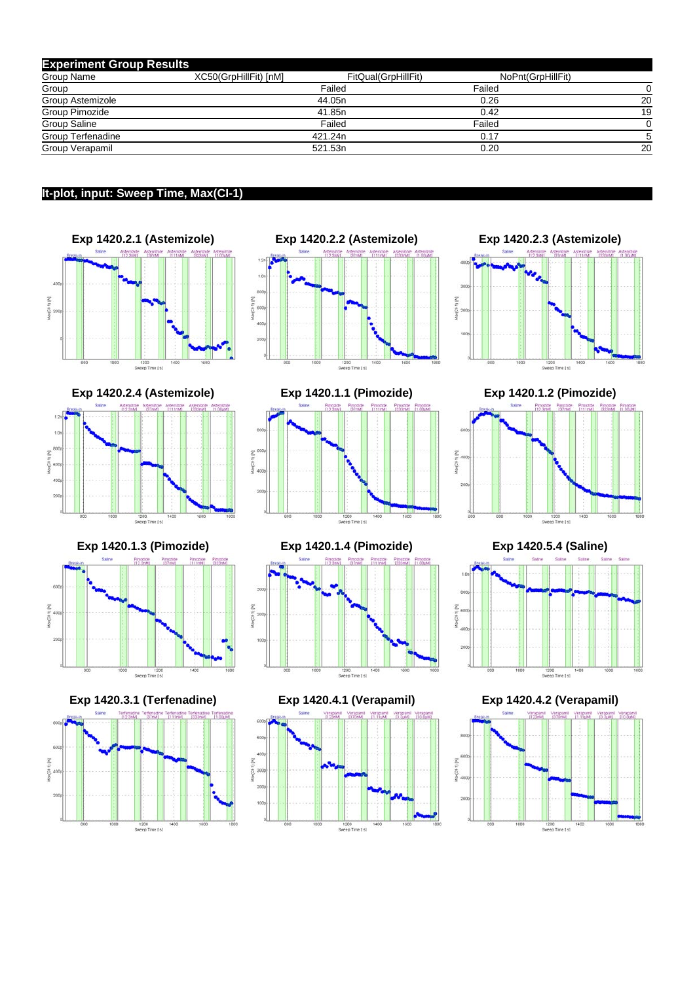| <b>Experiment Group Results</b> |                       |                     |                   |    |  |
|---------------------------------|-----------------------|---------------------|-------------------|----|--|
| Group Name                      | XC50(GrpHillFit) [nM] | FitQual(GrpHillFit) | NoPnt(GrpHillFit) |    |  |
| Group                           |                       | Failed              | Failed            |    |  |
| Group Astemizole                |                       | 44.05n              | 0.26              | 20 |  |
| Group Pimozide                  |                       | 41.85n              | 0.42              | 19 |  |
| Group Saline                    |                       | Failed              | Failed            |    |  |
| Group Terfenadine               |                       | 421.24n             | 0.17              |    |  |
| Group Verapamil                 |                       | 521.53n             | 0.20              | 20 |  |
|                                 |                       |                     |                   |    |  |

#### **It-plot, input: Sweep Time, Max(CI-1)**





**Exp 1420.1.3 (Pimozide) Exp 1420.1.4 (Pimozide) Exp 1420.5.4 (Saline)**



**Exp 1420.3.1 (Terfenadine) Exp 1420.4.1 (Verapamil) Exp 1420.4.2 (Verapamil)**

















lime [ s]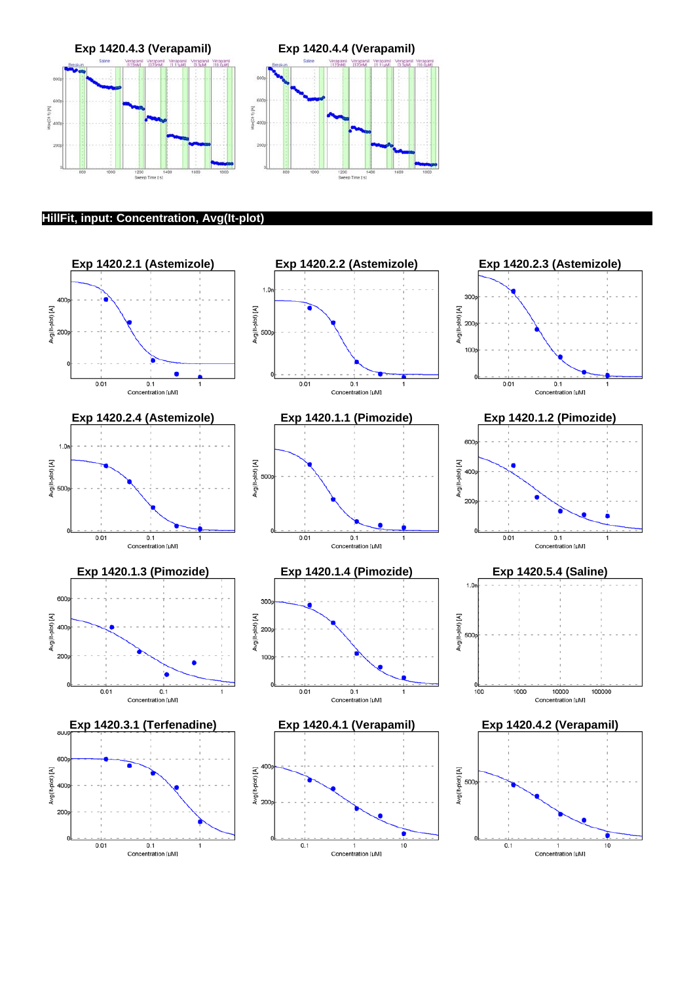

#### **HillFit, input: Concentration, Avg(It-plot)**